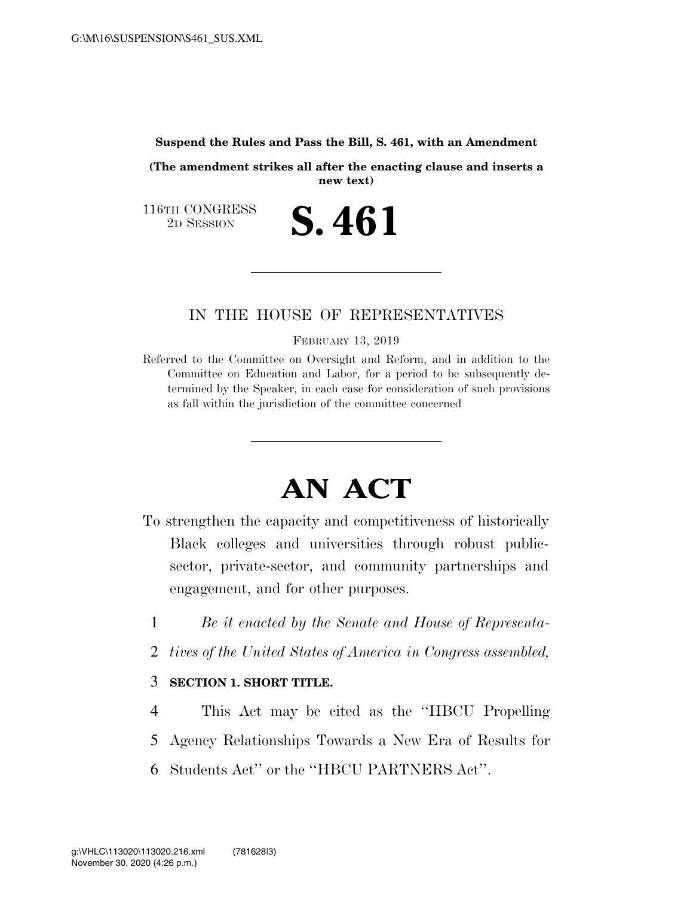## **Suspend the Rules and Pass the Bill, S. 461, with an Amendment**

**(The amendment strikes all after the enacting clause and inserts a new text)** 

**S. 461** 

116TH CONGRESS<br>2D SESSION

## IN THE HOUSE OF REPRESENTATIVES

FEBRUARY 13, 2019

Referred to the Committee on Oversight and Reform, and in addition to the Committee on Education and Labor, for a period to be subsequently determined by the Speaker, in each case for consideration of such provisions as fall within the jurisdiction of the committee concerned

## **AN ACT**

- To strengthen the capacity and competitiveness of historically Black colleges and universities through robust publicsector, private-sector, and community partnerships and engagement, and for other purposes.
	- 1 *Be it enacted by the Senate and House of Representa-*
	- 2 *tives of the United States of America in Congress assembled,*
	- 3 **SECTION 1. SHORT TITLE.**
	- 4 This Act may be cited as the ''HBCU Propelling
	- 5 Agency Relationships Towards a New Era of Results for
	- 6 Students Act'' or the ''HBCU PARTNERS Act''.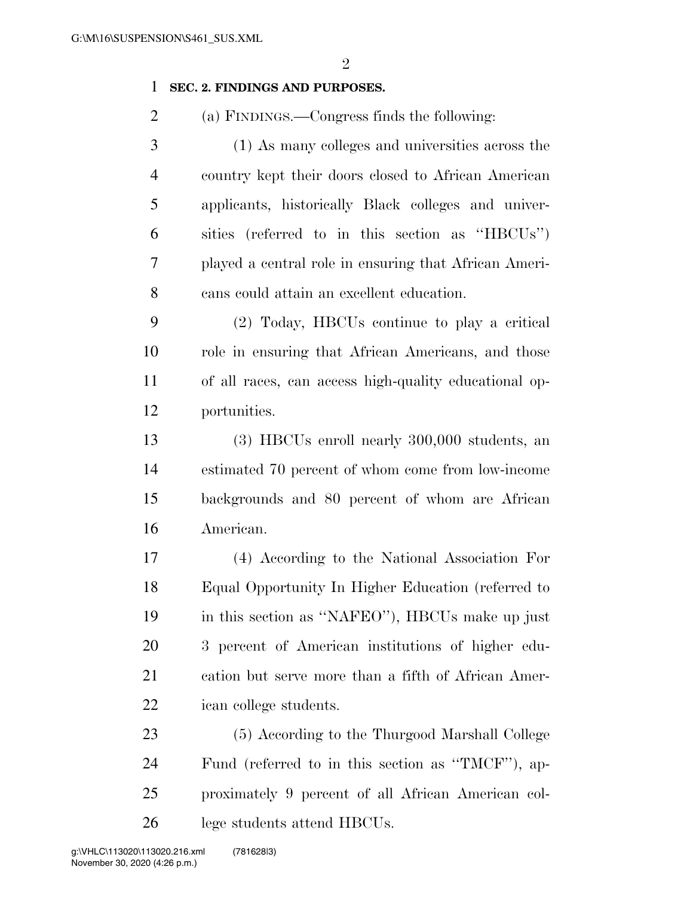## **SEC. 2. FINDINGS AND PURPOSES.**

(a) FINDINGS.—Congress finds the following:

 (1) As many colleges and universities across the country kept their doors closed to African American applicants, historically Black colleges and univer- sities (referred to in this section as ''HBCUs'') played a central role in ensuring that African Ameri-cans could attain an excellent education.

 (2) Today, HBCUs continue to play a critical role in ensuring that African Americans, and those of all races, can access high-quality educational op-portunities.

 (3) HBCUs enroll nearly 300,000 students, an estimated 70 percent of whom come from low-income backgrounds and 80 percent of whom are African American.

 (4) According to the National Association For Equal Opportunity In Higher Education (referred to in this section as ''NAFEO''), HBCUs make up just 3 percent of American institutions of higher edu- cation but serve more than a fifth of African Amer-ican college students.

 (5) According to the Thurgood Marshall College Fund (referred to in this section as ''TMCF''), ap- proximately 9 percent of all African American col-lege students attend HBCUs.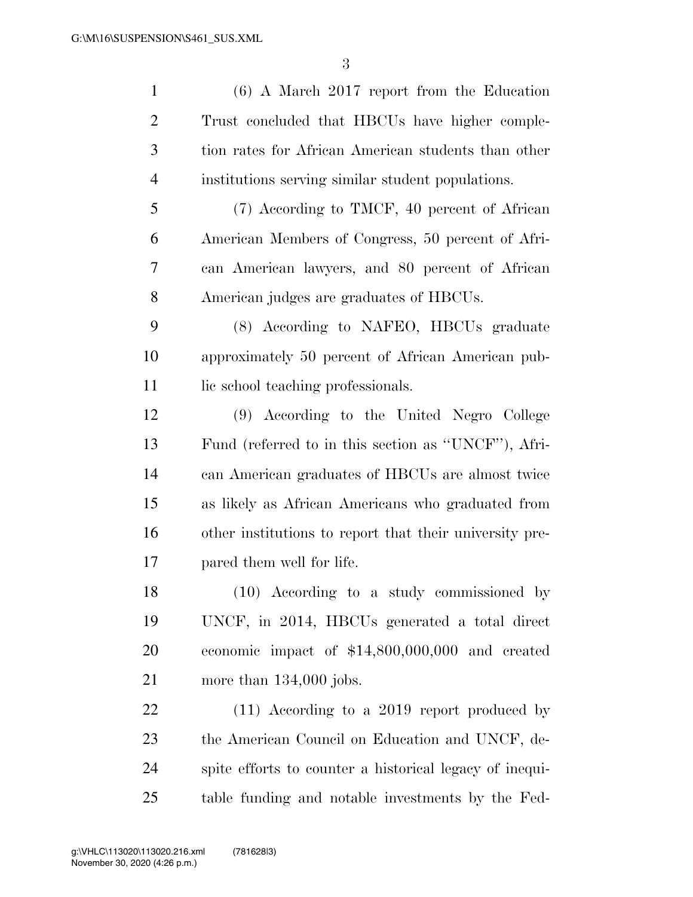(6) A March 2017 report from the Education Trust concluded that HBCUs have higher comple- tion rates for African American students than other institutions serving similar student populations. (7) According to TMCF, 40 percent of African American Members of Congress, 50 percent of Afri- can American lawyers, and 80 percent of African American judges are graduates of HBCUs. (8) According to NAFEO, HBCUs graduate approximately 50 percent of African American pub-11 lic school teaching professionals. (9) According to the United Negro College Fund (referred to in this section as ''UNCF''), Afri- can American graduates of HBCUs are almost twice as likely as African Americans who graduated from other institutions to report that their university pre- pared them well for life. (10) According to a study commissioned by UNCF, in 2014, HBCUs generated a total direct economic impact of \$14,800,000,000 and created more than 134,000 jobs. 22 (11) According to a 2019 report produced by the American Council on Education and UNCF, de- spite efforts to counter a historical legacy of inequi-table funding and notable investments by the Fed-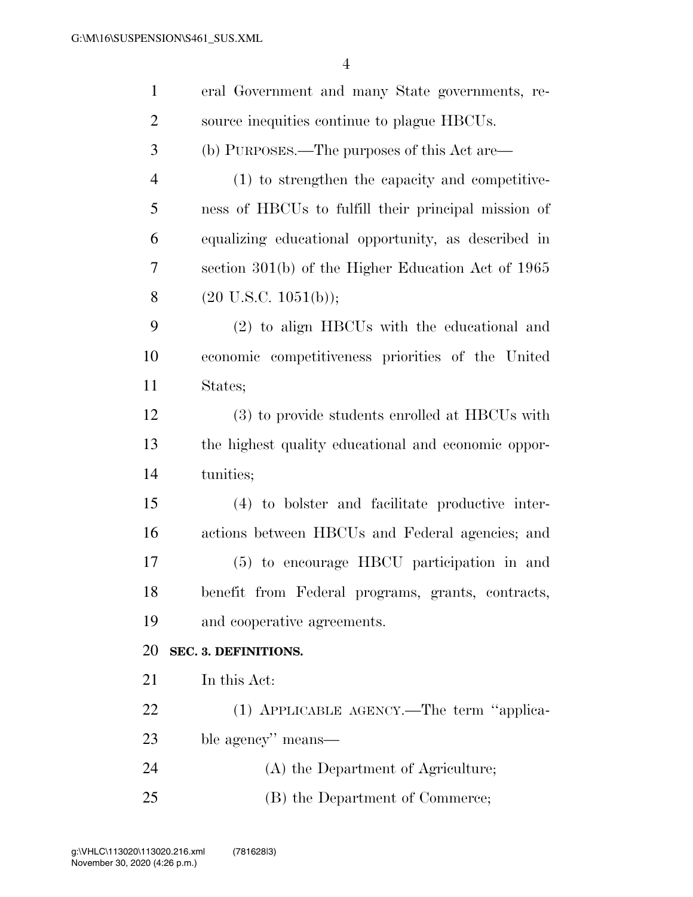| $\mathbf{1}$   | eral Government and many State governments, re-        |
|----------------|--------------------------------------------------------|
| $\overline{2}$ | source inequities continue to plague HBCUs.            |
| 3              | (b) PURPOSES.—The purposes of this Act are—            |
| $\overline{4}$ | (1) to strengthen the capacity and competitive-        |
| 5              | ness of HBCUs to fulfill their principal mission of    |
| 6              | equalizing educational opportunity, as described in    |
| 7              | section $301(b)$ of the Higher Education Act of $1965$ |
| 8              | $(20 \text{ U.S.C. } 1051(b));$                        |
| 9              | (2) to align HBCUs with the educational and            |
| 10             | economic competitiveness priorities of the United      |
| 11             | States;                                                |
| 12             | (3) to provide students enrolled at HBCUs with         |
| 13             | the highest quality educational and economic oppor-    |
| 14             | tunities;                                              |
| 15             | (4) to bolster and facilitate productive inter-        |
| 16             | actions between HBCUs and Federal agencies; and        |
| 17             | (5) to encourage HBCU participation in and             |
| 18             | benefit from Federal programs, grants, contracts,      |
| 19             | and cooperative agreements.                            |
| 20             | SEC. 3. DEFINITIONS.                                   |
| 21             | In this Act:                                           |
| 22             | (1) APPLICABLE AGENCY.—The term "applica-              |
| 23             | ble agency" means—                                     |
| 24             | (A) the Department of Agriculture;                     |
| 25             | (B) the Department of Commerce;                        |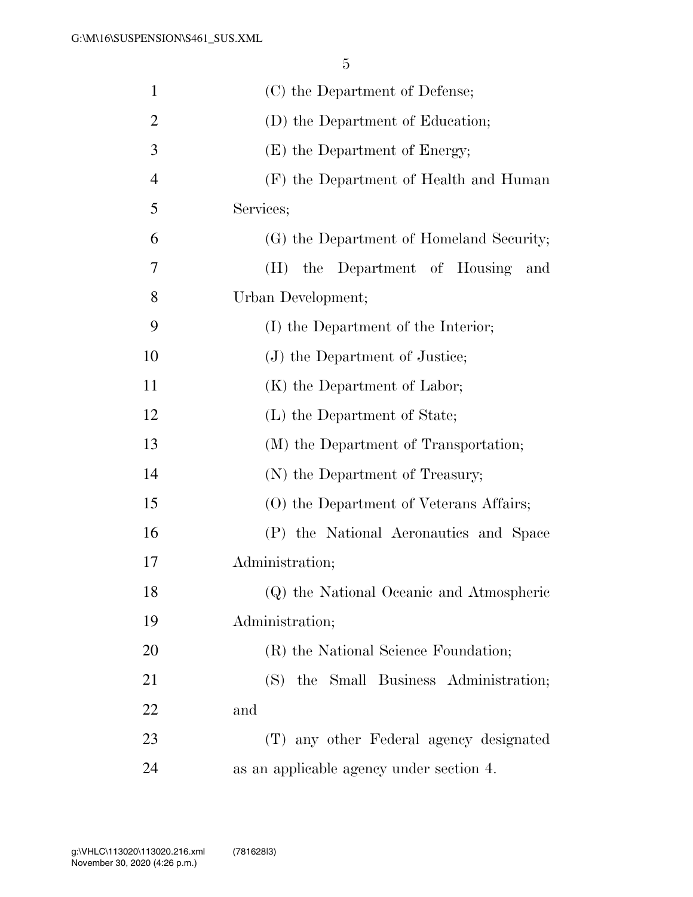| $\mathbf{1}$   | (C) the Department of Defense;           |
|----------------|------------------------------------------|
| $\overline{2}$ | (D) the Department of Education;         |
| 3              | (E) the Department of Energy;            |
| $\overline{4}$ | (F) the Department of Health and Human   |
| 5              | Services;                                |
| 6              | (G) the Department of Homeland Security; |
| 7              | the Department of Housing<br>(H)<br>and  |
| 8              | Urban Development;                       |
| 9              | (I) the Department of the Interior;      |
| 10             | (J) the Department of Justice;           |
| 11             | (K) the Department of Labor;             |
| 12             | (L) the Department of State;             |
| 13             | (M) the Department of Transportation;    |
| 14             | (N) the Department of Treasury;          |
| 15             | (O) the Department of Veterans Affairs;  |
| 16             | (P) the National Aeronautics and Space   |
| 17             | Administration;                          |
| 18             | (Q) the National Oceanic and Atmospheric |
| 19             | Administration;                          |
| 20             | (R) the National Science Foundation;     |
| 21             | (S) the Small Business Administration;   |
| 22             | and                                      |
| 23             | (T) any other Federal agency designated  |
| 24             | as an applicable agency under section 4. |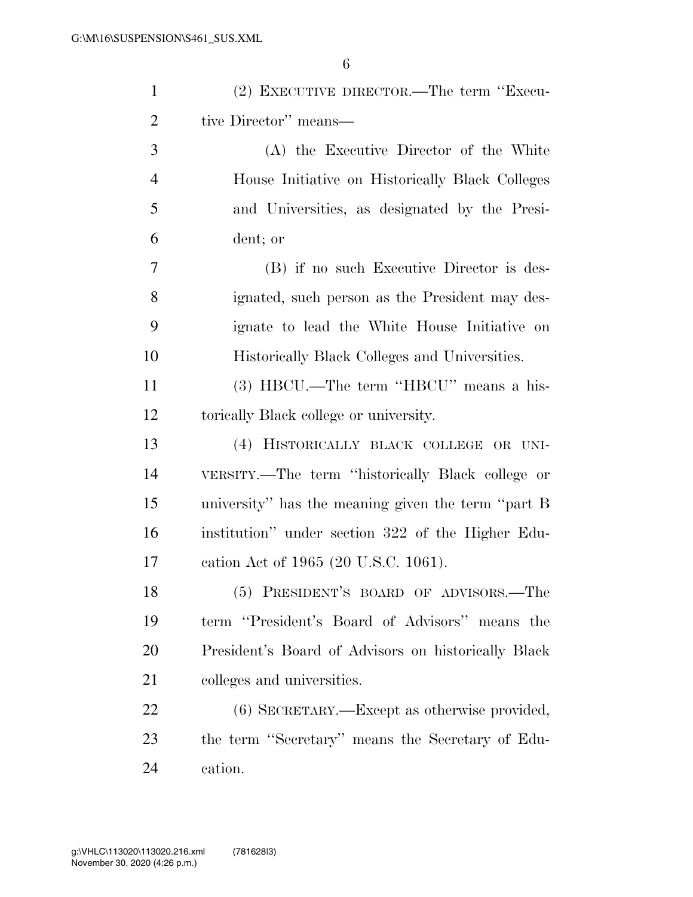| $\mathbf{1}$   | (2) EXECUTIVE DIRECTOR.—The term "Execu-            |
|----------------|-----------------------------------------------------|
| $\overline{2}$ | tive Director" means—                               |
| 3              | (A) the Executive Director of the White             |
| $\overline{4}$ | House Initiative on Historically Black Colleges     |
| 5              | and Universities, as designated by the Presi-       |
| 6              | dent; or                                            |
| 7              | (B) if no such Executive Director is des-           |
| 8              | ignated, such person as the President may des-      |
| 9              | ignate to lead the White House Initiative on        |
| 10             | Historically Black Colleges and Universities.       |
| 11             | (3) HBCU.—The term "HBCU" means a his-              |
| 12             | torically Black college or university.              |
| 13             | (4) HISTORICALLY BLACK COLLEGE OR UNI-              |
| 14             | VERSITY.—The term "historically Black college or    |
| 15             | university" has the meaning given the term "part B  |
| 16             | institution" under section 322 of the Higher Edu-   |
| 17             | cation Act of 1965 (20 U.S.C. 1061).                |
| 18             | (5) PRESIDENT'S BOARD OF ADVISORS.—The              |
| 19             | term "President's Board of Advisors" means the      |
| 20             | President's Board of Advisors on historically Black |
| 21             | colleges and universities.                          |
| 22             | $(6)$ SECRETARY.—Except as otherwise provided,      |
| 23             | the term "Secretary" means the Secretary of Edu-    |
| 24             | cation.                                             |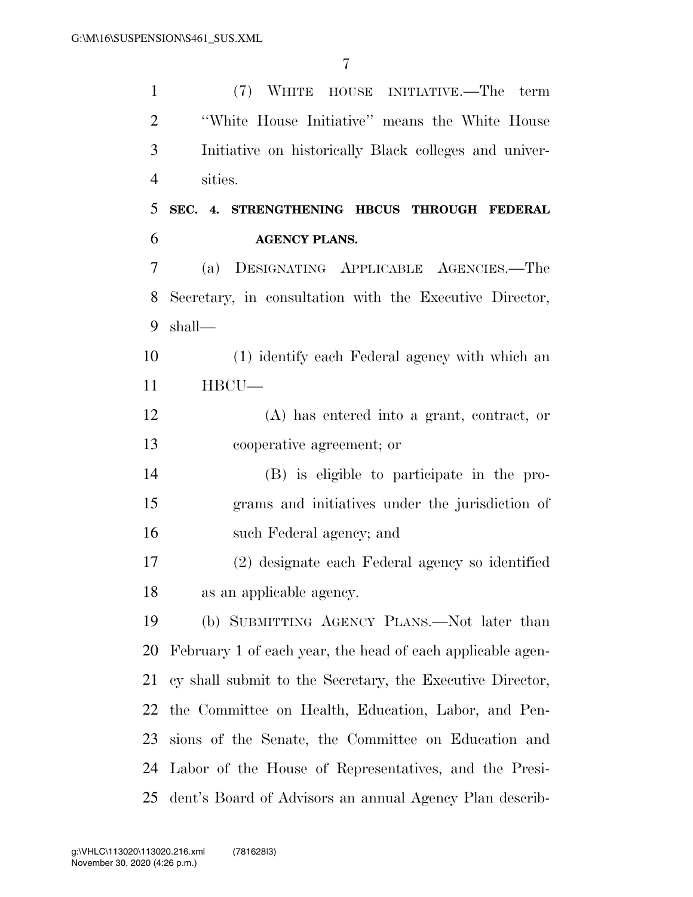(7) WHITE HOUSE INITIATIVE.—The term

 ''White House Initiative'' means the White House Initiative on historically Black colleges and univer- sities. **SEC. 4. STRENGTHENING HBCUS THROUGH FEDERAL AGENCY PLANS.**  (a) DESIGNATING APPLICABLE AGENCIES.—The Secretary, in consultation with the Executive Director, shall— (1) identify each Federal agency with which an HBCU— (A) has entered into a grant, contract, or cooperative agreement; or (B) is eligible to participate in the pro- grams and initiatives under the jurisdiction of such Federal agency; and (2) designate each Federal agency so identified

as an applicable agency.

 (b) SUBMITTING AGENCY PLANS.—Not later than February 1 of each year, the head of each applicable agen- cy shall submit to the Secretary, the Executive Director, the Committee on Health, Education, Labor, and Pen- sions of the Senate, the Committee on Education and Labor of the House of Representatives, and the Presi-dent's Board of Advisors an annual Agency Plan describ-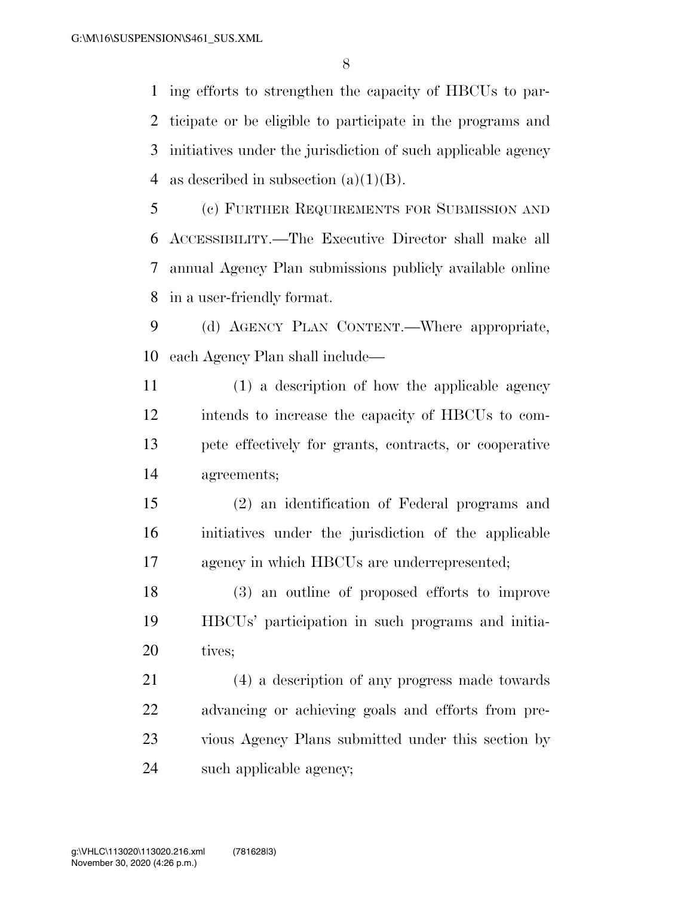ing efforts to strengthen the capacity of HBCUs to par- ticipate or be eligible to participate in the programs and initiatives under the jurisdiction of such applicable agency 4 as described in subsection  $(a)(1)(B)$ .

 (c) FURTHER REQUIREMENTS FOR SUBMISSION AND ACCESSIBILITY.—The Executive Director shall make all annual Agency Plan submissions publicly available online in a user-friendly format.

 (d) AGENCY PLAN CONTENT.—Where appropriate, each Agency Plan shall include—

 (1) a description of how the applicable agency intends to increase the capacity of HBCUs to com- pete effectively for grants, contracts, or cooperative agreements;

 (2) an identification of Federal programs and initiatives under the jurisdiction of the applicable agency in which HBCUs are underrepresented;

 (3) an outline of proposed efforts to improve HBCUs' participation in such programs and initia-20 tives;

 (4) a description of any progress made towards advancing or achieving goals and efforts from pre- vious Agency Plans submitted under this section by such applicable agency;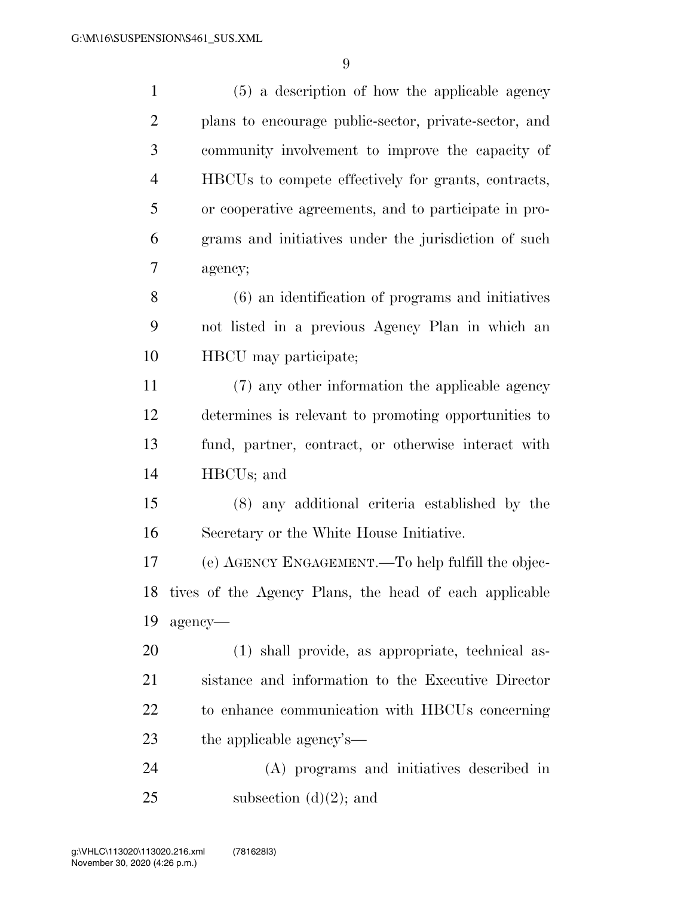(5) a description of how the applicable agency plans to encourage public-sector, private-sector, and community involvement to improve the capacity of HBCUs to compete effectively for grants, contracts, or cooperative agreements, and to participate in pro- grams and initiatives under the jurisdiction of such agency; (6) an identification of programs and initiatives not listed in a previous Agency Plan in which an HBCU may participate; (7) any other information the applicable agency determines is relevant to promoting opportunities to fund, partner, contract, or otherwise interact with HBCUs; and (8) any additional criteria established by the Secretary or the White House Initiative. (e) AGENCY ENGAGEMENT.—To help fulfill the objec- tives of the Agency Plans, the head of each applicable agency— (1) shall provide, as appropriate, technical as- sistance and information to the Executive Director to enhance communication with HBCUs concerning the applicable agency's— (A) programs and initiatives described in 25 subsection  $(d)(2)$ ; and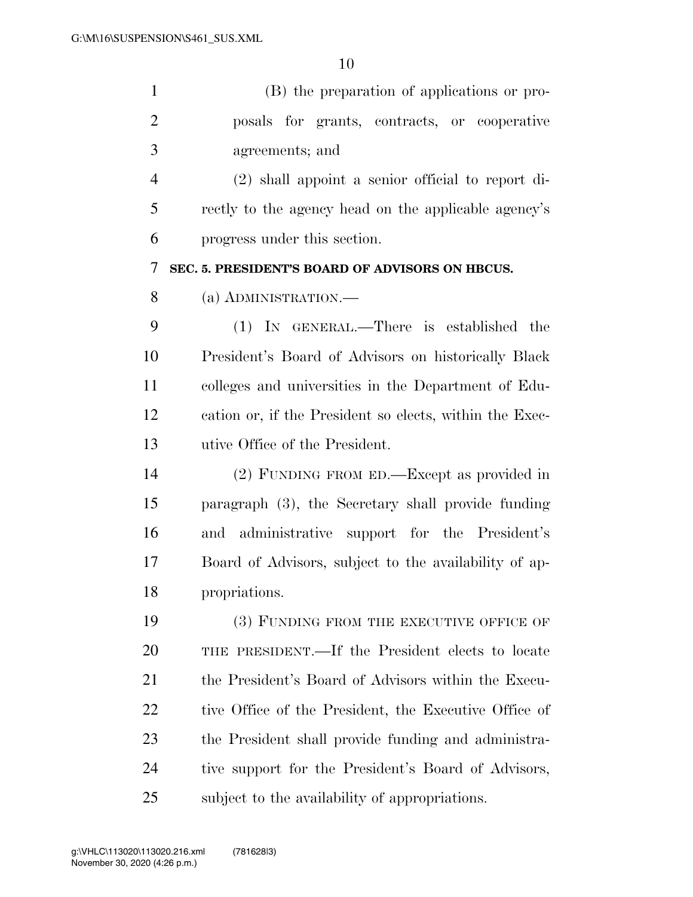| $\mathbf{1}$   | (B) the preparation of applications or pro-             |
|----------------|---------------------------------------------------------|
| $\overline{2}$ | posals for grants, contracts, or cooperative            |
| 3              | agreements; and                                         |
| $\overline{4}$ | $(2)$ shall appoint a senior official to report di-     |
| 5              | rectly to the agency head on the applicable agency's    |
| 6              | progress under this section.                            |
| 7              | SEC. 5. PRESIDENT'S BOARD OF ADVISORS ON HBCUS.         |
| 8              | (a) ADMINISTRATION.—                                    |
| 9              | (1) IN GENERAL.—There is established the                |
| 10             | President's Board of Advisors on historically Black     |
| 11             | colleges and universities in the Department of Edu-     |
| 12             | cation or, if the President so elects, within the Exec- |
| 13             | utive Office of the President.                          |
| 14             | (2) FUNDING FROM ED.—Except as provided in              |
| 15             | paragraph (3), the Secretary shall provide funding      |
| 16             | and administrative support for the President's          |
| 17             | Board of Advisors, subject to the availability of ap-   |
| 18             | propriations.                                           |
| 19             | (3) FUNDING FROM THE EXECUTIVE OFFICE OF                |
| 20             | THE PRESIDENT.—If the President elects to locate        |
| 21             | the President's Board of Advisors within the Execu-     |
| 22             | tive Office of the President, the Executive Office of   |

 the President shall provide funding and administra- tive support for the President's Board of Advisors, subject to the availability of appropriations.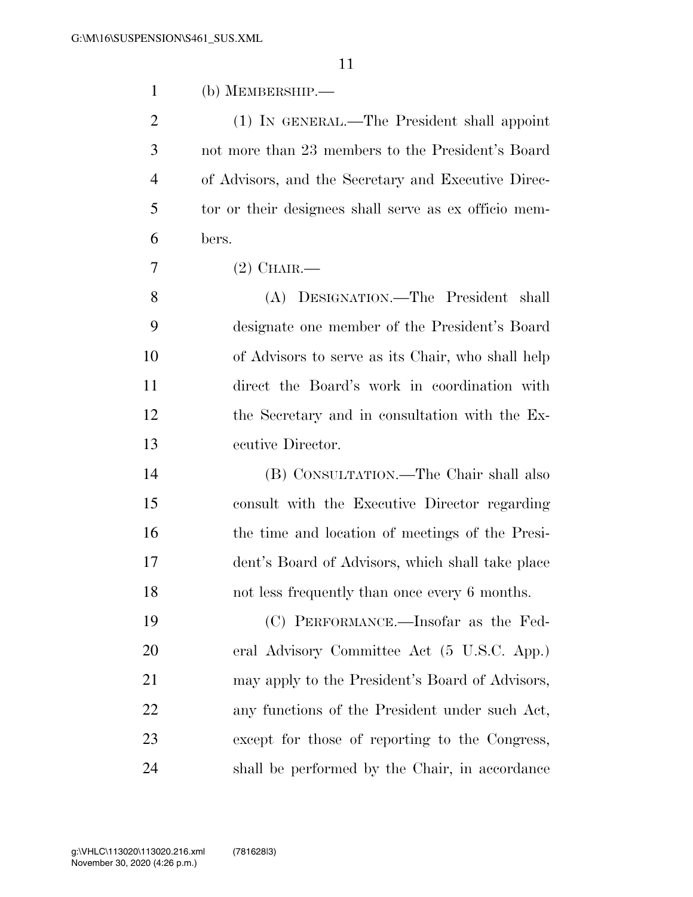| $\mathbf{1}$   | $(b)$ MEMBERSHIP.—                                    |
|----------------|-------------------------------------------------------|
| $\overline{2}$ | (1) IN GENERAL.—The President shall appoint           |
| 3              | not more than 23 members to the President's Board     |
| $\overline{4}$ | of Advisors, and the Secretary and Executive Direc-   |
| 5              | tor or their designees shall serve as ex officio mem- |
| 6              | bers.                                                 |
| 7              | $(2)$ CHAIR.—                                         |
| 8              | (A) DESIGNATION.—The President<br>shall               |
| 9              | designate one member of the President's Board         |
| 10             | of Advisors to serve as its Chair, who shall help     |
| 11             | direct the Board's work in coordination with          |
| 12             | the Secretary and in consultation with the Ex-        |
| 13             | ecutive Director.                                     |
| 14             | (B) CONSULTATION.—The Chair shall also                |
| 15             | consult with the Executive Director regarding         |
| 16             | the time and location of meetings of the Presi-       |
| 17             | dent's Board of Advisors, which shall take place      |
| 18             | not less frequently than once every 6 months.         |
| 19             | (C) PERFORMANCE.—Insofar as the Fed-                  |
| 20             | eral Advisory Committee Act (5 U.S.C. App.)           |
| 21             | may apply to the President's Board of Advisors,       |
| 22             | any functions of the President under such Act,        |
| 23             | except for those of reporting to the Congress,        |
| 24             | shall be performed by the Chair, in accordance        |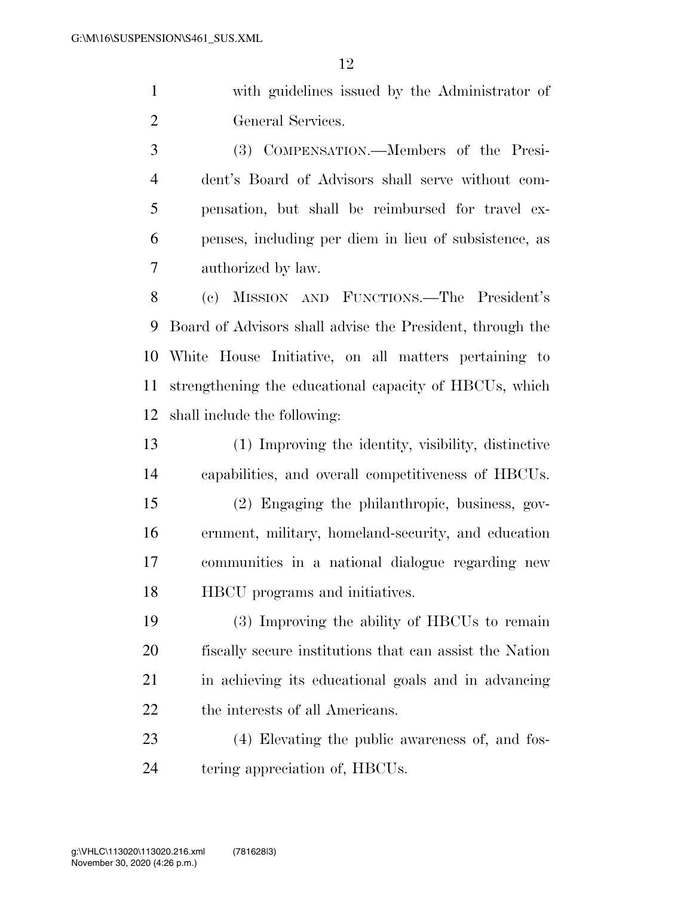with guidelines issued by the Administrator of General Services.

 (3) COMPENSATION.—Members of the Presi- dent's Board of Advisors shall serve without com- pensation, but shall be reimbursed for travel ex- penses, including per diem in lieu of subsistence, as authorized by law.

 (c) MISSION AND FUNCTIONS.—The President's Board of Advisors shall advise the President, through the White House Initiative, on all matters pertaining to strengthening the educational capacity of HBCUs, which shall include the following:

 (1) Improving the identity, visibility, distinctive capabilities, and overall competitiveness of HBCUs.

 (2) Engaging the philanthropic, business, gov- ernment, military, homeland-security, and education communities in a national dialogue regarding new HBCU programs and initiatives.

 (3) Improving the ability of HBCUs to remain fiscally secure institutions that can assist the Nation in achieving its educational goals and in advancing 22 the interests of all Americans.

 (4) Elevating the public awareness of, and fos-tering appreciation of, HBCUs.